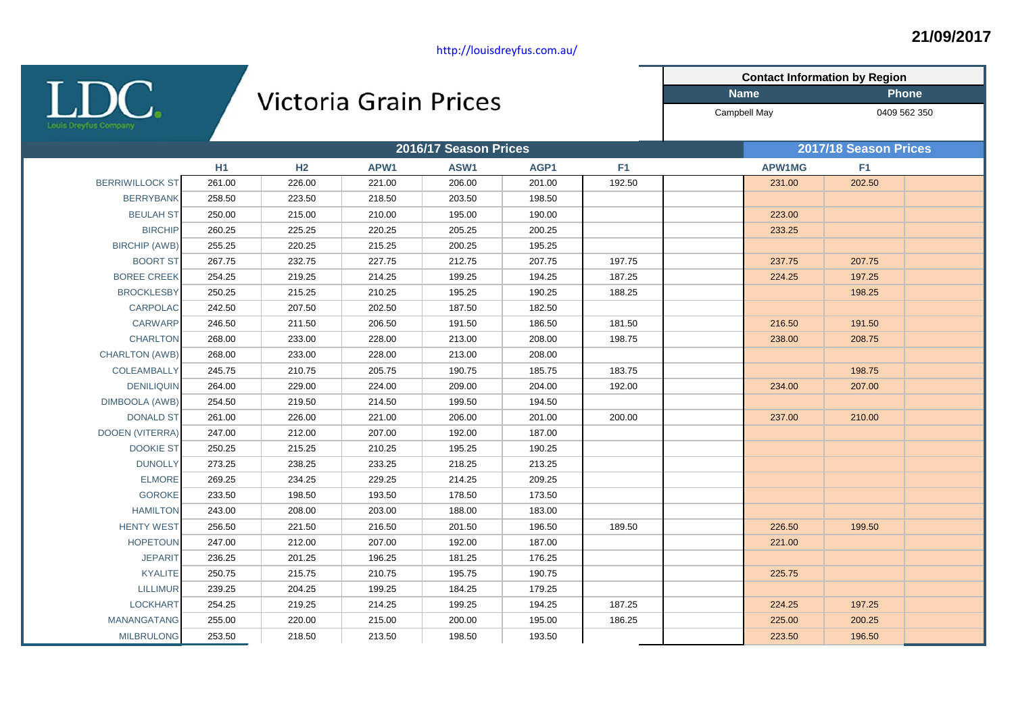LDC.

## Victoria Grain Prices

**Contact Information by Region Name Phone** Campbell May 0409 562 350

|                        |        | 2016/17 Season Prices |        |        |        |                |  | 2017/18 Season Prices |                |  |  |
|------------------------|--------|-----------------------|--------|--------|--------|----------------|--|-----------------------|----------------|--|--|
|                        | H1     | H <sub>2</sub>        | APW1   | ASW1   | AGP1   | F <sub>1</sub> |  | APW1MG                | F <sub>1</sub> |  |  |
| <b>BERRIWILLOCK ST</b> | 261.00 | 226.00                | 221.00 | 206.00 | 201.00 | 192.50         |  | 231.00                | 202.50         |  |  |
| <b>BERRYBANK</b>       | 258.50 | 223.50                | 218.50 | 203.50 | 198.50 |                |  |                       |                |  |  |
| <b>BEULAH ST</b>       | 250.00 | 215.00                | 210.00 | 195.00 | 190.00 |                |  | 223.00                |                |  |  |
| <b>BIRCHIP</b>         | 260.25 | 225.25                | 220.25 | 205.25 | 200.25 |                |  | 233.25                |                |  |  |
| <b>BIRCHIP (AWB)</b>   | 255.25 | 220.25                | 215.25 | 200.25 | 195.25 |                |  |                       |                |  |  |
| <b>BOORT ST</b>        | 267.75 | 232.75                | 227.75 | 212.75 | 207.75 | 197.75         |  | 237.75                | 207.75         |  |  |
| <b>BOREE CREEK</b>     | 254.25 | 219.25                | 214.25 | 199.25 | 194.25 | 187.25         |  | 224.25                | 197.25         |  |  |
| <b>BROCKLESBY</b>      | 250.25 | 215.25                | 210.25 | 195.25 | 190.25 | 188.25         |  |                       | 198.25         |  |  |
| CARPOLAC               | 242.50 | 207.50                | 202.50 | 187.50 | 182.50 |                |  |                       |                |  |  |
| <b>CARWARP</b>         | 246.50 | 211.50                | 206.50 | 191.50 | 186.50 | 181.50         |  | 216.50                | 191.50         |  |  |
| <b>CHARLTON</b>        | 268.00 | 233.00                | 228.00 | 213.00 | 208.00 | 198.75         |  | 238.00                | 208.75         |  |  |
| <b>CHARLTON (AWB)</b>  | 268.00 | 233.00                | 228.00 | 213.00 | 208.00 |                |  |                       |                |  |  |
| COLEAMBALLY            | 245.75 | 210.75                | 205.75 | 190.75 | 185.75 | 183.75         |  |                       | 198.75         |  |  |
| <b>DENILIQUIN</b>      | 264.00 | 229.00                | 224.00 | 209.00 | 204.00 | 192.00         |  | 234.00                | 207.00         |  |  |
| <b>DIMBOOLA (AWB)</b>  | 254.50 | 219.50                | 214.50 | 199.50 | 194.50 |                |  |                       |                |  |  |
| <b>DONALD ST</b>       | 261.00 | 226.00                | 221.00 | 206.00 | 201.00 | 200.00         |  | 237.00                | 210.00         |  |  |
| <b>DOOEN (VITERRA)</b> | 247.00 | 212.00                | 207.00 | 192.00 | 187.00 |                |  |                       |                |  |  |
| <b>DOOKIE ST</b>       | 250.25 | 215.25                | 210.25 | 195.25 | 190.25 |                |  |                       |                |  |  |
| <b>DUNOLLY</b>         | 273.25 | 238.25                | 233.25 | 218.25 | 213.25 |                |  |                       |                |  |  |
| <b>ELMORE</b>          | 269.25 | 234.25                | 229.25 | 214.25 | 209.25 |                |  |                       |                |  |  |
| <b>GOROKE</b>          | 233.50 | 198.50                | 193.50 | 178.50 | 173.50 |                |  |                       |                |  |  |
| <b>HAMILTON</b>        | 243.00 | 208.00                | 203.00 | 188.00 | 183.00 |                |  |                       |                |  |  |
| <b>HENTY WEST</b>      | 256.50 | 221.50                | 216.50 | 201.50 | 196.50 | 189.50         |  | 226.50                | 199.50         |  |  |
| <b>HOPETOUN</b>        | 247.00 | 212.00                | 207.00 | 192.00 | 187.00 |                |  | 221.00                |                |  |  |
| <b>JEPARIT</b>         | 236.25 | 201.25                | 196.25 | 181.25 | 176.25 |                |  |                       |                |  |  |
| <b>KYALITE</b>         | 250.75 | 215.75                | 210.75 | 195.75 | 190.75 |                |  | 225.75                |                |  |  |
| <b>LILLIMUR</b>        | 239.25 | 204.25                | 199.25 | 184.25 | 179.25 |                |  |                       |                |  |  |
| <b>LOCKHART</b>        | 254.25 | 219.25                | 214.25 | 199.25 | 194.25 | 187.25         |  | 224.25                | 197.25         |  |  |
| <b>MANANGATANG</b>     | 255.00 | 220.00                | 215.00 | 200.00 | 195.00 | 186.25         |  | 225.00                | 200.25         |  |  |
| <b>MILBRULONG</b>      | 253.50 | 218.50                | 213.50 | 198.50 | 193.50 |                |  | 223.50                | 196.50         |  |  |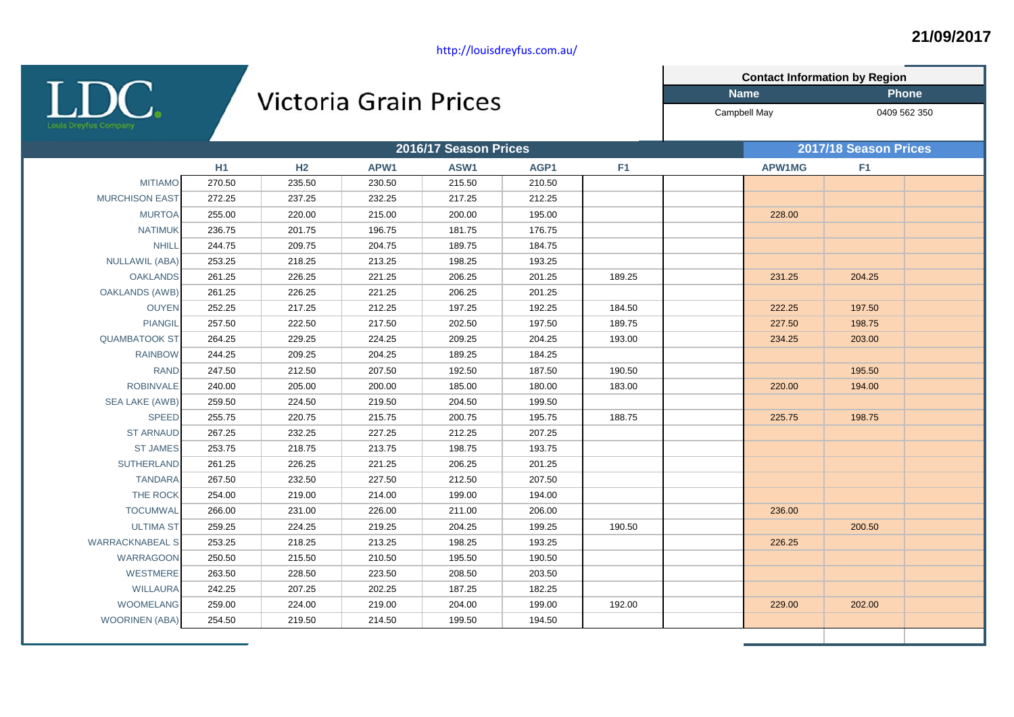$\underset{\text{the second step of } }{\text{LDC}}$ 

## Victoria Grain Prices

**Name Phone Contact Information by Region**

Campbell May 0409 562 350

|                        | 2016/17 Season Prices |                |        |        |        |                | 2017/18 Season Prices |                |  |
|------------------------|-----------------------|----------------|--------|--------|--------|----------------|-----------------------|----------------|--|
|                        | H1                    | H <sub>2</sub> | APW1   | ASW1   | AGP1   | F <sub>1</sub> | <b>APW1MG</b>         | F <sub>1</sub> |  |
| <b>MITIAMO</b>         | 270.50                | 235.50         | 230.50 | 215.50 | 210.50 |                |                       |                |  |
| <b>MURCHISON EAST</b>  | 272.25                | 237.25         | 232.25 | 217.25 | 212.25 |                |                       |                |  |
| <b>MURTOA</b>          | 255.00                | 220.00         | 215.00 | 200.00 | 195.00 |                | 228.00                |                |  |
| <b>NATIMUK</b>         | 236.75                | 201.75         | 196.75 | 181.75 | 176.75 |                |                       |                |  |
| <b>NHILL</b>           | 244.75                | 209.75         | 204.75 | 189.75 | 184.75 |                |                       |                |  |
| <b>NULLAWIL (ABA)</b>  | 253.25                | 218.25         | 213.25 | 198.25 | 193.25 |                |                       |                |  |
| <b>OAKLANDS</b>        | 261.25                | 226.25         | 221.25 | 206.25 | 201.25 | 189.25         | 231.25                | 204.25         |  |
| <b>OAKLANDS (AWB)</b>  | 261.25                | 226.25         | 221.25 | 206.25 | 201.25 |                |                       |                |  |
| <b>OUYEN</b>           | 252.25                | 217.25         | 212.25 | 197.25 | 192.25 | 184.50         | 222.25                | 197.50         |  |
| <b>PIANGIL</b>         | 257.50                | 222.50         | 217.50 | 202.50 | 197.50 | 189.75         | 227.50                | 198.75         |  |
| <b>QUAMBATOOK ST</b>   | 264.25                | 229.25         | 224.25 | 209.25 | 204.25 | 193.00         | 234.25                | 203.00         |  |
| <b>RAINBOW</b>         | 244.25                | 209.25         | 204.25 | 189.25 | 184.25 |                |                       |                |  |
| <b>RAND</b>            | 247.50                | 212.50         | 207.50 | 192.50 | 187.50 | 190.50         |                       | 195.50         |  |
| <b>ROBINVALE</b>       | 240.00                | 205.00         | 200.00 | 185.00 | 180.00 | 183.00         | 220.00                | 194.00         |  |
| <b>SEA LAKE (AWB)</b>  | 259.50                | 224.50         | 219.50 | 204.50 | 199.50 |                |                       |                |  |
| <b>SPEED</b>           | 255.75                | 220.75         | 215.75 | 200.75 | 195.75 | 188.75         | 225.75                | 198.75         |  |
| <b>ST ARNAUD</b>       | 267.25                | 232.25         | 227.25 | 212.25 | 207.25 |                |                       |                |  |
| <b>ST JAMES</b>        | 253.75                | 218.75         | 213.75 | 198.75 | 193.75 |                |                       |                |  |
| <b>SUTHERLAND</b>      | 261.25                | 226.25         | 221.25 | 206.25 | 201.25 |                |                       |                |  |
| <b>TANDARA</b>         | 267.50                | 232.50         | 227.50 | 212.50 | 207.50 |                |                       |                |  |
| THE ROCK               | 254.00                | 219.00         | 214.00 | 199.00 | 194.00 |                |                       |                |  |
| <b>TOCUMWAL</b>        | 266.00                | 231.00         | 226.00 | 211.00 | 206.00 |                | 236.00                |                |  |
| <b>ULTIMA ST</b>       | 259.25                | 224.25         | 219.25 | 204.25 | 199.25 | 190.50         |                       | 200.50         |  |
| <b>WARRACKNABEAL S</b> | 253.25                | 218.25         | 213.25 | 198.25 | 193.25 |                | 226.25                |                |  |
| <b>WARRAGOON</b>       | 250.50                | 215.50         | 210.50 | 195.50 | 190.50 |                |                       |                |  |
| <b>WESTMERE</b>        | 263.50                | 228.50         | 223.50 | 208.50 | 203.50 |                |                       |                |  |
| <b>WILLAURA</b>        | 242.25                | 207.25         | 202.25 | 187.25 | 182.25 |                |                       |                |  |
| <b>WOOMELANG</b>       | 259.00                | 224.00         | 219.00 | 204.00 | 199.00 | 192.00         | 229.00                | 202.00         |  |
| <b>WOORINEN (ABA)</b>  | 254.50                | 219.50         | 214.50 | 199.50 | 194.50 |                |                       |                |  |
|                        |                       |                |        |        |        |                |                       |                |  |